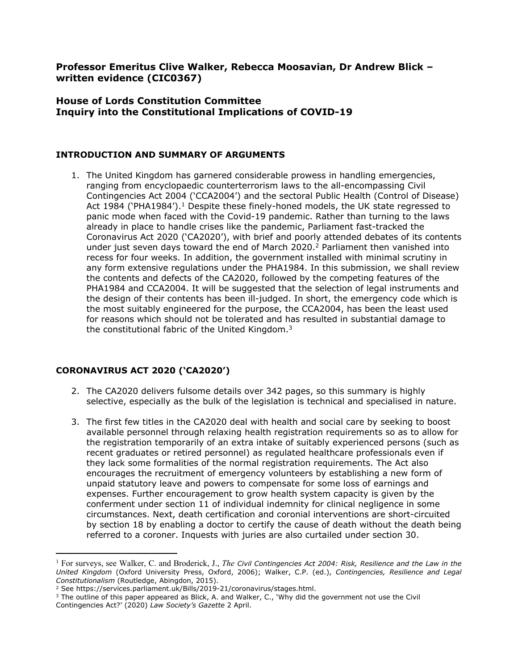**Professor Emeritus Clive Walker, Rebecca Moosavian, Dr Andrew Blick – written evidence (CIC0367)**

# **House of Lords Constitution Committee Inquiry into the Constitutional Implications of COVID-19**

#### **INTRODUCTION AND SUMMARY OF ARGUMENTS**

1. The United Kingdom has garnered considerable prowess in handling emergencies, ranging from encyclopaedic counterterrorism laws to the all-encompassing Civil Contingencies Act 2004 ('CCA2004') and the sectoral Public Health (Control of Disease) Act 1984 ('PHA1984').<sup>1</sup> Despite these finely-honed models, the UK state regressed to panic mode when faced with the Covid-19 pandemic. Rather than turning to the laws already in place to handle crises like the pandemic, Parliament fast-tracked the Coronavirus Act 2020 ('CA2020'), with brief and poorly attended debates of its contents under just seven days toward the end of March 2020.<sup>2</sup> Parliament then vanished into recess for four weeks. In addition, the government installed with minimal scrutiny in any form extensive regulations under the PHA1984. In this submission, we shall review the contents and defects of the CA2020, followed by the competing features of the PHA1984 and CCA2004. It will be suggested that the selection of legal instruments and the design of their contents has been ill-judged. In short, the emergency code which is the most suitably engineered for the purpose, the CCA2004, has been the least used for reasons which should not be tolerated and has resulted in substantial damage to the constitutional fabric of the United Kingdom.<sup>3</sup>

#### **CORONAVIRUS ACT 2020 ('CA2020')**

- 2. The CA2020 delivers fulsome details over 342 pages, so this summary is highly selective, especially as the bulk of the legislation is technical and specialised in nature.
- 3. The first few titles in the CA2020 deal with health and social care by seeking to boost available personnel through relaxing health registration requirements so as to allow for the registration temporarily of an extra intake of suitably experienced persons (such as recent graduates or retired personnel) as regulated healthcare professionals even if they lack some formalities of the normal registration requirements. The Act also encourages the recruitment of emergency volunteers by establishing a new form of unpaid statutory leave and powers to compensate for some loss of earnings and expenses. Further encouragement to grow health system capacity is given by the conferment under section 11 of individual indemnity for clinical negligence in some circumstances. Next, death certification and coronial interventions are short-circuited by section 18 by enabling a doctor to certify the cause of death without the death being referred to a coroner. Inquests with juries are also curtailed under section 30.

<sup>1</sup> For surveys, see Walker, C. and Broderick, J., *The Civil Contingencies Act 2004: Risk, Resilience and the Law in the United Kingdom* (Oxford University Press, Oxford, 2006); Walker, C.P. (ed.), *Contingencies, Resilience and Legal Constitutionalism* (Routledge, Abingdon, 2015).

<sup>2</sup> See https://services.parliament.uk/Bills/2019-21/coronavirus/stages.html.

<sup>&</sup>lt;sup>3</sup> The outline of this paper appeared as Blick, A. and Walker, C., 'Why did the government not use the Civil Contingencies Act?' (2020) *Law Society's Gazette* 2 April.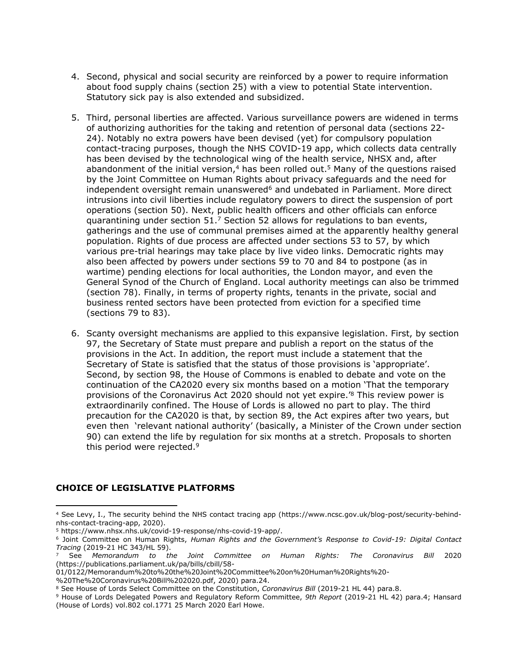- 4. Second, physical and social security are reinforced by a power to require information about food supply chains (section 25) with a view to potential State intervention. Statutory sick pay is also extended and subsidized.
- 5. Third, personal liberties are affected. Various surveillance powers are widened in terms of authorizing authorities for the taking and retention of personal data (sections 22- 24). Notably no extra powers have been devised (yet) for compulsory population contact-tracing purposes, though the NHS COVID-19 app, which collects data centrally has been devised by the technological wing of the health service, NHSX and, after abandonment of the initial version, $4$  has been rolled out.<sup>5</sup> Many of the questions raised by the Joint Committee on Human Rights about privacy safeguards and the need for independent oversight remain unanswered $6$  and undebated in Parliament. More direct intrusions into civil liberties include regulatory powers to direct the suspension of port operations (section 50). Next, public health officers and other officials can enforce quarantining under section  $51<sup>7</sup>$  Section 52 allows for regulations to ban events, gatherings and the use of communal premises aimed at the apparently healthy general population. Rights of due process are affected under sections 53 to 57, by which various pre-trial hearings may take place by live video links. Democratic rights may also been affected by powers under sections 59 to 70 and 84 to postpone (as in wartime) pending elections for local authorities, the London mayor, and even the General Synod of the Church of England. Local authority meetings can also be trimmed (section 78). Finally, in terms of property rights, tenants in the private, social and business rented sectors have been protected from eviction for a specified time (sections 79 to 83).
- 6. Scanty oversight mechanisms are applied to this expansive legislation. First, by section 97, the Secretary of State must prepare and publish a report on the status of the provisions in the Act. In addition, the report must include a statement that the Secretary of State is satisfied that the status of those provisions is 'appropriate'. Second, by section 98, the House of Commons is enabled to debate and vote on the continuation of the CA2020 every six months based on a motion 'That the temporary provisions of the Coronavirus Act 2020 should not yet expire.'<sup>8</sup> This review power is extraordinarily confined. The House of Lords is allowed no part to play. The third precaution for the CA2020 is that, by section 89, the Act expires after two years, but even then 'relevant national authority' (basically, a Minister of the Crown under section 90) can extend the life by regulation for six months at a stretch. Proposals to shorten this period were rejected.<sup>9</sup>

#### **CHOICE OF LEGISLATIVE PLATFORMS**

01/0122/Memorandum%20to%20the%20Joint%20Committee%20on%20Human%20Rights%20-

%20The%20Coronavirus%20Bill%202020.pdf, 2020) para.24.

<sup>4</sup> See Levy, I., The security behind the NHS contact tracing app (https://www.ncsc.gov.uk/blog-post/security-behindnhs-contact-tracing-app, 2020).

<sup>5</sup> https://www.nhsx.nhs.uk/covid-19-response/nhs-covid-19-app/.

<sup>6</sup> Joint Committee on Human Rights, *Human Rights and the Government's Response to Covid-19: Digital Contact Tracing* (2019-21 HC 343/HL 59).

<sup>7</sup> See *Memorandum to the Joint Committee on Human Rights: The Coronavirus Bill* 2020 (https://publications.parliament.uk/pa/bills/cbill/58-

<sup>8</sup> See House of Lords Select Committee on the Constitution, *Coronavirus Bill* (2019-21 HL 44) para.8.

<sup>9</sup> House of Lords Delegated Powers and Regulatory Reform Committee, *9th Report* (2019-21 HL 42) para.4; Hansard (House of Lords) vol.802 col.1771 25 March 2020 Earl Howe.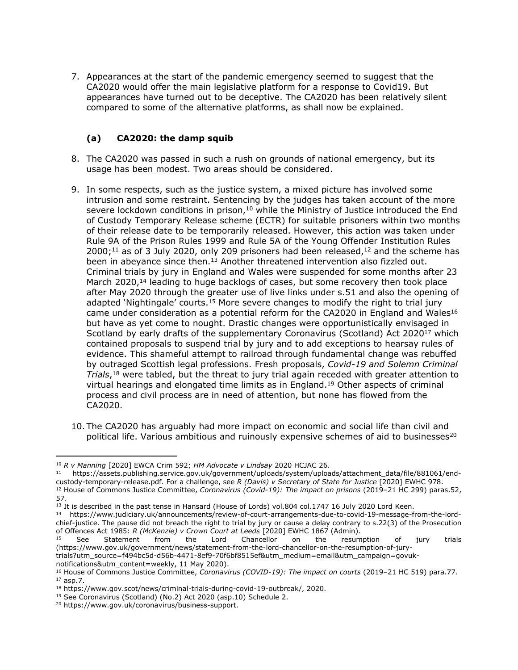7. Appearances at the start of the pandemic emergency seemed to suggest that the CA2020 would offer the main legislative platform for a response to Covid19. But appearances have turned out to be deceptive. The CA2020 has been relatively silent compared to some of the alternative platforms, as shall now be explained.

# **(a) CA2020: the damp squib**

- 8. The CA2020 was passed in such a rush on grounds of national emergency, but its usage has been modest. Two areas should be considered.
- 9. In some respects, such as the justice system, a mixed picture has involved some intrusion and some restraint. Sentencing by the judges has taken account of the more severe lockdown conditions in prison, $10$  while the Ministry of Justice introduced the End of Custody Temporary Release scheme (ECTR) for suitable prisoners within two months of their release date to be temporarily released. However, this action was taken under Rule 9A of the Prison Rules 1999 and Rule 5A of the Young Offender Institution Rules  $2000;$ <sup>11</sup> as of 3 July 2020, only 209 prisoners had been released,<sup>12</sup> and the scheme has been in abeyance since then.<sup>13</sup> Another threatened intervention also fizzled out. Criminal trials by jury in England and Wales were suspended for some months after 23 March 2020,<sup>14</sup> leading to huge backlogs of cases, but some recovery then took place after May 2020 through the greater use of live links under s.51 and also the opening of adapted 'Nightingale' courts.<sup>15</sup> More severe changes to modify the right to trial jury came under consideration as a potential reform for the CA2020 in England and Wales<sup>16</sup> but have as yet come to nought. Drastic changes were opportunistically envisaged in Scotland by early drafts of the supplementary Coronavirus (Scotland) Act 2020<sup>17</sup> which contained proposals to suspend trial by jury and to add exceptions to hearsay rules of evidence. This shameful attempt to railroad through fundamental change was rebuffed by outraged Scottish legal professions. Fresh proposals, *Covid-19 and Solemn Criminal Trials*, <sup>18</sup> were tabled, but the threat to jury trial again receded with greater attention to virtual hearings and elongated time limits as in England.<sup>19</sup> Other aspects of criminal process and civil process are in need of attention, but none has flowed from the CA2020.
- 10. The CA2020 has arguably had more impact on economic and social life than civil and political life. Various ambitious and ruinously expensive schemes of [aid](https://www.gov.uk/government/collections/financial-support-for-businesses-during-coronavirus-covid-19) [to](https://www.gov.uk/government/collections/financial-support-for-businesses-during-coronavirus-covid-19) [businesses](https://www.gov.uk/government/collections/financial-support-for-businesses-during-coronavirus-covid-19)<sup>20</sup>

<sup>10</sup> *R v Manning* [2020] EWCA Crim 592; *HM Advocate v Lindsay* 2020 HCJAC 26.

<sup>11</sup> https://assets.publishing.service.gov.uk/government/uploads/system/uploads/attachment\_data/file/881061/endcustody-temporary-release.pdf. For a challenge, see *R (Davis) v Secretary of State for Justice* [2020] EWHC 978. <sup>12</sup> House of Commons Justice Committee, *Coronavirus (Covid-19): The impact on prisons* (2019–21 HC 299) paras.52, 57.

<sup>&</sup>lt;sup>13</sup> It is described in the past tense in Hansard (House of Lords) vol.804 col.1747 16 July 2020 Lord Keen.

<sup>14</sup> https://www.judiciary.uk/announcements/review-of-court-arrangements-due-to-covid-19-message-from-the-lordchief-justice. The pause did not breach the right to trial by jury or cause a delay contrary to [s.22\(3\)](http://uk.westlaw.com/Document/I3FDDE330E44A11DA8D70A0E70A78ED65/View/FullText.html?originationContext=document&transitionType=DocumentItem&vr=3.0&rs=PLUK1.0&contextData=(sc.AlertsClip)) [of](http://uk.westlaw.com/Document/I3FDDE330E44A11DA8D70A0E70A78ED65/View/FullText.html?originationContext=document&transitionType=DocumentItem&vr=3.0&rs=PLUK1.0&contextData=(sc.AlertsClip)) [the](http://uk.westlaw.com/Document/I3FDDE330E44A11DA8D70A0E70A78ED65/View/FullText.html?originationContext=document&transitionType=DocumentItem&vr=3.0&rs=PLUK1.0&contextData=(sc.AlertsClip)) [Prosecution](http://uk.westlaw.com/Document/I3FDDE330E44A11DA8D70A0E70A78ED65/View/FullText.html?originationContext=document&transitionType=DocumentItem&vr=3.0&rs=PLUK1.0&contextData=(sc.AlertsClip)) [of](http://uk.westlaw.com/Document/I3FDDE330E44A11DA8D70A0E70A78ED65/View/FullText.html?originationContext=document&transitionType=DocumentItem&vr=3.0&rs=PLUK1.0&contextData=(sc.AlertsClip)) [Offences](http://uk.westlaw.com/Document/I3FDDE330E44A11DA8D70A0E70A78ED65/View/FullText.html?originationContext=document&transitionType=DocumentItem&vr=3.0&rs=PLUK1.0&contextData=(sc.AlertsClip)) [Act](http://uk.westlaw.com/Document/I3FDDE330E44A11DA8D70A0E70A78ED65/View/FullText.html?originationContext=document&transitionType=DocumentItem&vr=3.0&rs=PLUK1.0&contextData=(sc.AlertsClip)) [1985](http://uk.westlaw.com/Document/I3FDDE330E44A11DA8D70A0E70A78ED65/View/FullText.html?originationContext=document&transitionType=DocumentItem&vr=3.0&rs=PLUK1.0&contextData=(sc.AlertsClip)): *R (McKenzie) v Crown Court at Leeds* [2020] EWHC 1867 (Admin).

<sup>&</sup>lt;sup>15</sup> See Statement from the Lord Chancellor on the resumption of jury trials (https://www.gov.uk/government/news/statement-from-the-lord-chancellor-on-the-resumption-of-jury-

trials?utm\_source=f494bc5d-d56b-4471-8ef9-70f6bf8515ef&utm\_medium=email&utm\_campaign=govuknotifications&utm\_content=weekly, 11 May 2020).

<sup>16</sup> House of Commons Justice Committee, *Coronavirus (COVID-19): The impact on courts* (2019–21 HC 519) para.77.  $17$  asp.7.

<sup>18</sup> https://www.gov.scot/news/criminal-trials-during-covid-19-outbreak/, 2020.

<sup>19</sup> See Coronavirus (Scotland) (No.2) Act 2020 (asp.10) Schedule 2.

<sup>20</sup> https://www.gov.uk/coronavirus/business-support.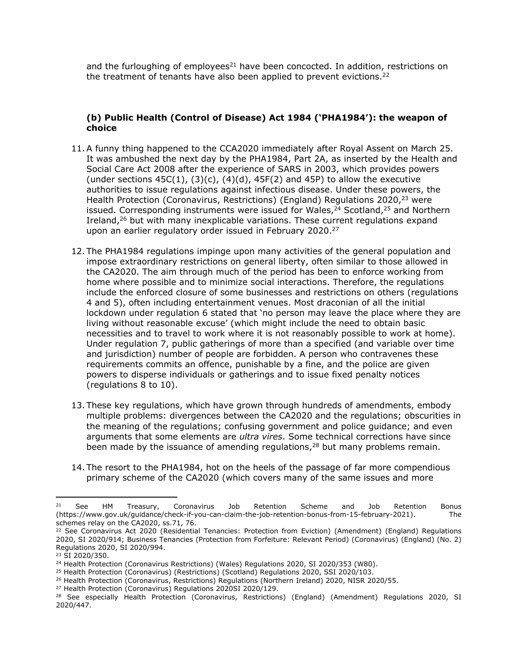and the furloughing of  $employees<sup>21</sup>$  have been concocted. In addition, restrictions on the treatment of tenants have also been applied to prevent evictions.<sup>22</sup>

### **(b) Public Health (Control of Disease) Act 1984 ('PHA1984'): the weapon of choice**

- 11.A funny thing happened to the CCA2020 immediately after Royal Assent on March 25. It was ambushed the next day by the PHA1984, Part 2A, as inserted by the Health and Social Care Act 2008 after the experience of SARS in 2003, which provides powers (under sections  $45C(1)$ ,  $(3)(c)$ ,  $(4)(d)$ ,  $45F(2)$  and  $45P$ ) to allow the executive authorities to issue regulations against infectious disease. Under these powers, the Health Protection (Coronavirus, Restrictions) (England) Regulations 2020,<sup>23</sup> were issued. Corresponding instruments were issued for Wales, $24$  Scotland, $25$  and Northern Ireland,<sup>26</sup> but with many inexplicable variations. These current regulations expand upon an earlier regulatory order issued in February 2020.<sup>27</sup>
- 12. The PHA1984 regulations impinge upon many activities of the general population and impose extraordinary restrictions on general liberty, often similar to those allowed in the CA2020. The aim through much of the period has been to enforce working from home where possible and to minimize social interactions. Therefore, the regulations include the enforced closure of some businesses and restrictions on others (regulations 4 and 5), often including entertainment venues. Most draconian of all the initial lockdown under regulation 6 stated that 'no person may leave the place where they are living without reasonable excuse' (which might include the need to obtain basic necessities and to travel to work where it is not reasonably possible to work at home). Under regulation 7, public gatherings of more than a specified (and variable over time and jurisdiction) number of people are forbidden. A person who contravenes these requirements commits an offence, punishable by a fine, and the police are given powers to disperse individuals or gatherings and to issue fixed penalty notices (regulations 8 to 10).
- 13. These key regulations, which have grown through hundreds of amendments, embody multiple problems: divergences between the CA2020 and the regulations; obscurities in the meaning of the regulations; confusing government and police guidance; and even arguments that some elements are *ultra vires*. Some technical corrections have since been made by the issuance of amending regulations,<sup>28</sup> but many problems remain.
- 14. The resort to the PHA1984, hot on the heels of the passage of far more compendious primary scheme of the CA2020 (which covers many of the same issues and more

<sup>26</sup> Health Protection (Coronavirus, Restrictions) Regulations (Northern Ireland) 2020, NISR 2020/55.

<sup>&</sup>lt;sup>21</sup> See HM Treasury, Coronavirus Job Retention Scheme and Job Retention Bonus (https://www.gov.uk/guidance/check-if-you-can-claim-the-job-retention-bonus-from-15-february-2021). The schemes relay on the CA2020, ss.71, 76.

<sup>22</sup> See Coronavirus Act 2020 (Residential Tenancies: Protection from Eviction) (Amendment) (England) Regulations 2020, SI 2020/914; Business Tenancies (Protection from Forfeiture: Relevant Period) (Coronavirus) (England) (No. 2) Regulations 2020, SI 2020/994.

<sup>23</sup> SI 2020/350.

<sup>&</sup>lt;sup>24</sup> Health Protection (Coronavirus Restrictions) (Wales) Regulations 2020, SI 2020/353 (W80).

<sup>25</sup> Health Protection (Coronavirus) (Restrictions) (Scotland) Regulations 2020, SSI 2020/103.

<sup>&</sup>lt;sup>27</sup> Health Protection (Coronavirus) Regulations 2020SI 2020/129.

<sup>&</sup>lt;sup>28</sup> See especially Health Protection (Coronavirus, Restrictions) (England) (Amendment) Regulations 2020, SI 2020/447.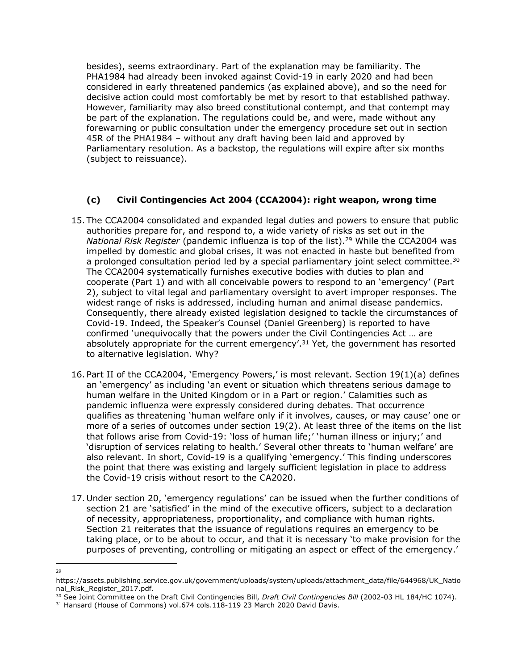besides), seems extraordinary. Part of the explanation may be familiarity. The PHA1984 had already been invoked against Covid-19 in early 2020 and had been considered in early threatened pandemics (as explained above), and so the need for decisive action could most comfortably be met by resort to that established pathway. However, familiarity may also breed constitutional contempt, and that contempt may be part of the explanation. The regulations could be, and were, made without any forewarning or public consultation under the emergency procedure set out in section 45R of the PHA1984 – without any draft having been laid and approved by Parliamentary resolution. As a backstop, the regulations will expire after six months (subject to reissuance).

## **(c) Civil Contingencies Act 2004 (CCA2004): right weapon, wrong time**

- 15. The CCA2004 consolidated and expanded legal duties and powers to ensure that public authorities prepare for, and respond to, a wide variety of risks as set out in the *National Risk Register* (pandemic influenza is top of the list).<sup>29</sup> While the CCA2004 was impelled by domestic and global crises, it was not enacted in haste but benefited from a prolonged consultation period led by a special parliamentary joint select committee.<sup>30</sup> The CCA2004 systematically furnishes executive bodies with duties to plan and cooperate (Part 1) and with all conceivable powers to respond to an 'emergency' (Part 2), subject to vital legal and parliamentary oversight to avert improper responses. The widest range of risks is addressed, including human and animal disease pandemics. Consequently, there already existed legislation designed to tackle the circumstances of Covid-19. Indeed, the Speaker's Counsel (Daniel Greenberg) is reported to have confirmed 'unequivocally that the powers under the Civil Contingencies Act … are absolutely appropriate for the current emergency'.<sup>31</sup> Yet, the government has resorted to alternative legislation. Why?
- 16. Part II of the CCA2004, 'Emergency Powers,' is most relevant. Section 19(1)(a) defines an 'emergency' as including 'an event or situation which threatens serious damage to human welfare in the United Kingdom or in a Part or region.' Calamities such as pandemic influenza were expressly considered during debates. That occurrence qualifies as threatening 'human welfare only if it involves, causes, or may cause' one or more of a series of outcomes under section 19(2). At least three of the items on the list that follows arise from Covid-19: 'loss of human life;' 'human illness or injury;' and 'disruption of services relating to health.' Several other threats to 'human welfare' are also relevant. In short, Covid-19 is a qualifying 'emergency.' This finding underscores the point that there was existing and largely sufficient legislation in place to address the Covid-19 crisis without resort to the CA2020.
- 17. Under section 20, 'emergency regulations' can be issued when the further conditions of section 21 are 'satisfied' in the mind of the executive officers, subject to a declaration of necessity, appropriateness, proportionality, and compliance with human rights. Section 21 reiterates that the issuance of regulations requires an emergency to be taking place, or to be about to occur, and that it is necessary 'to make provision for the purposes of preventing, controlling or mitigating an aspect or effect of the emergency.'
- 29

https://assets.publishing.service.gov.uk/government/uploads/system/uploads/attachment\_data/file/644968/UK\_Natio nal Risk Register 2017.pdf.

<sup>30</sup> See Joint Committee on the Draft Civil Contingencies Bill, *Draft Civil Contingencies Bill* (2002-03 HL 184/HC 1074).

<sup>31</sup> Hansard (House of Commons) vol.674 cols.118-119 23 March 2020 David Davis.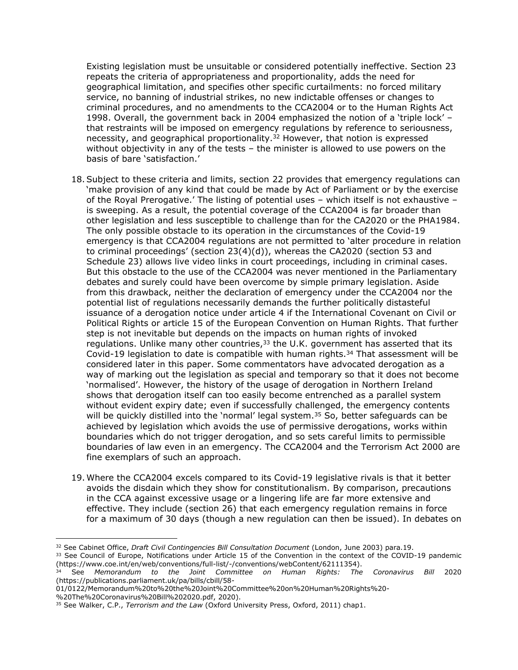Existing legislation must be unsuitable or considered potentially ineffective. Section 23 repeats the criteria of appropriateness and proportionality, adds the need for geographical limitation, and specifies other specific curtailments: no forced military service, no banning of industrial strikes, no new indictable offenses or changes to criminal procedures, and no amendments to the CCA2004 or to the Human Rights Act 1998. Overall, the government back in 2004 emphasized the notion of a 'triple lock' – that restraints will be imposed on emergency regulations by reference to seriousness, necessity, and geographical proportionality.<sup>32</sup> However, that notion is expressed without objectivity in any of the tests – the minister is allowed to use powers on the basis of bare 'satisfaction.'

- 18.Subject to these criteria and limits, section 22 provides that emergency regulations can 'make provision of any kind that could be made by Act of Parliament or by the exercise of the Royal Prerogative.' The listing of potential uses – which itself is not exhaustive – is sweeping. As a result, the potential coverage of the CCA2004 is far broader than other legislation and less susceptible to challenge than for the CA2020 or the PHA1984. The only possible obstacle to its operation in the circumstances of the Covid-19 emergency is that CCA2004 regulations are not permitted to 'alter procedure in relation to criminal proceedings' (section 23(4)(d)), whereas the CA2020 (section 53 and Schedule 23) allows live video links in court proceedings, including in criminal cases. But this obstacle to the use of the CCA2004 was never mentioned in the Parliamentary debates and surely could have been overcome by simple primary legislation. Aside from this drawback, neither the declaration of emergency under the CCA2004 nor the potential list of regulations necessarily demands the further politically distasteful issuance of a derogation notice under article 4 if the International Covenant on Civil or Political Rights or article 15 of the European Convention on Human Rights. That further step is not inevitable but depends on the impacts on human rights of invoked regulations. Unlike many other countries,<sup>33</sup> the U.K. government has asserted that its Covid-19 legislation to date is compatible with human rights.<sup>34</sup> That assessment will be considered later in this paper. Some commentators have advocated derogation as a way of marking out the legislation as special and temporary so that it does not become 'normalised'. However, the history of the usage of derogation in Northern Ireland shows that derogation itself can too easily become entrenched as a parallel system without evident expiry date; even if successfully challenged, the emergency contents will be quickly distilled into the 'normal' legal system.<sup>35</sup> So, better safeguards can be achieved by legislation which avoids the use of permissive derogations, works within boundaries which do not trigger derogation, and so sets careful limits to permissible boundaries of law even in an emergency. The CCA2004 and the Terrorism Act 2000 are fine exemplars of such an approach.
- 19. Where the CCA2004 excels compared to its Covid-19 legislative rivals is that it better avoids the disdain which they show for constitutionalism. By comparison, precautions in the CCA against excessive usage or a lingering life are far more extensive and effective. They include (section 26) that each emergency regulation remains in force for a maximum of 30 days (though a new regulation can then be issued). In debates on

01/0122/Memorandum%20to%20the%20Joint%20Committee%20on%20Human%20Rights%20- %20The%20Coronavirus%20Bill%202020.pdf, 2020).

<sup>32</sup> See Cabinet Office, *Draft Civil Contingencies Bill Consultation Document* (London, June 2003) para.19.

<sup>&</sup>lt;sup>33</sup> See Council of Europe, Notifications under Article 15 of the Convention in the context of the COVID-19 pandemic (https://www.coe.int/en/web/conventions/full-list/-/conventions/webContent/62111354).

<sup>34</sup> See *Memorandum to the Joint Committee on Human Rights: The Coronavirus Bill* 2020 (https://publications.parliament.uk/pa/bills/cbill/58-

<sup>35</sup> See Walker, C.P., *Terrorism and the Law* (Oxford University Press, Oxford, 2011) chap1.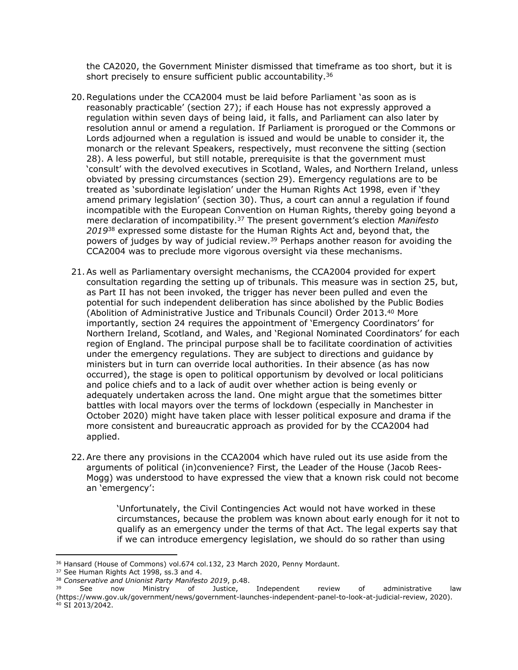the CA2020, the Government Minister dismissed that timeframe as too short, but it is short precisely to ensure sufficient public accountability.<sup>36</sup>

- 20.Regulations under the CCA2004 must be laid before Parliament 'as soon as is reasonably practicable' (section 27); if each House has not expressly approved a regulation within seven days of being laid, it falls, and Parliament can also later by resolution annul or amend a regulation. If Parliament is prorogued or the Commons or Lords adjourned when a regulation is issued and would be unable to consider it, the monarch or the relevant Speakers, respectively, must reconvene the sitting (section 28). A less powerful, but still notable, prerequisite is that the government must 'consult' with the devolved executives in Scotland, Wales, and Northern Ireland, unless obviated by pressing circumstances (section 29). Emergency regulations are to be treated as 'subordinate legislation' under the Human Rights Act 1998, even if 'they amend primary legislation' (section 30). Thus, a court can annul a regulation if found incompatible with the European Convention on Human Rights, thereby going beyond a mere declaration of incompatibility.<sup>37</sup> The present government's election *Manifesto 2019*<sup>38</sup> expressed some distaste for the Human Rights Act and, beyond that, the powers of judges by way of judicial review.<sup>39</sup> Perhaps another reason for avoiding the CCA2004 was to preclude more vigorous oversight via these mechanisms.
- 21.As well as Parliamentary oversight mechanisms, the CCA2004 provided for expert consultation regarding the setting up of tribunals. This measure was in section 25, but, as Part II has not been invoked, the trigger has never been pulled and even the potential for such independent deliberation has since abolished by the Public Bodies (Abolition of Administrative Justice and Tribunals Council) Order 2013.<sup>40</sup> More importantly, section 24 requires the appointment of 'Emergency Coordinators' for Northern Ireland, Scotland, and Wales, and 'Regional Nominated Coordinators' for each region of England. The principal purpose shall be to facilitate coordination of activities under the emergency regulations. They are subject to directions and guidance by ministers but in turn can override local authorities. In their absence (as has now occurred), the stage is open to political opportunism by devolved or local politicians and police chiefs and to a lack of audit over whether action is being evenly or adequately undertaken across the land. One might argue that the sometimes bitter battles with local mayors over the terms of lockdown (especially in Manchester in October 2020) might have taken place with lesser political exposure and drama if the more consistent and bureaucratic approach as provided for by the CCA2004 had applied.
- 22.Are there any provisions in the CCA2004 which have ruled out its use aside from the arguments of political (in)convenience? First, the Leader of the House (Jacob Rees-Mogg) was understood to have expressed the view that a known risk could not become an 'emergency':

'Unfortunately, the Civil Contingencies Act would not have worked in these circumstances, because the problem was known about early enough for it not to qualify as an emergency under the terms of that Act. The legal experts say that if we can introduce emergency legislation, we should do so rather than using

<sup>36</sup> Hansard (House of Commons) vol.674 col.132, 23 March 2020, Penny Mordaunt.

<sup>37</sup> See Human Rights Act 1998, ss.3 and 4.

<sup>38</sup> *Conservative and Unionist Party Manifesto 2019*, p.48.

See now Ministry of Justice, Independent review of administrative law (https://www.gov.uk/government/news/government-launches-independent-panel-to-look-at-judicial-review, 2020). <sup>40</sup> SI 2013/2042.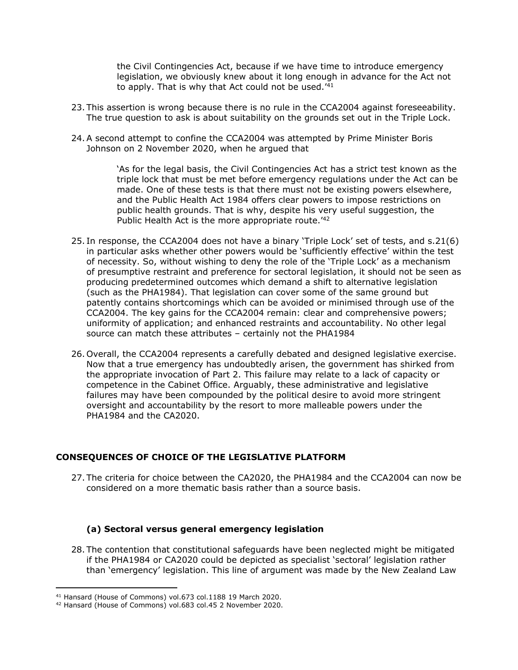the Civil Contingencies Act, because if we have time to introduce emergency legislation, we obviously knew about it long enough in advance for the Act not to apply. That is why that Act could not be used.'<sup>41</sup>

- 23. This assertion is wrong because there is no rule in the CCA2004 against foreseeability. The true question to ask is about suitability on the grounds set out in the Triple Lock.
- 24.A second attempt to confine the CCA2004 was attempted by Prime Minister Boris Johnson on 2 November 2020, when he argued that

'As for the legal basis, the Civil Contingencies Act has a strict test known as the triple lock that must be met before emergency regulations under the Act can be made. One of these tests is that there must not be existing powers elsewhere, and the Public Health Act 1984 offers clear powers to impose restrictions on public health grounds. That is why, despite his very useful suggestion, the Public Health Act is the more appropriate route.<sup>'42</sup>

- 25. In response, the CCA2004 does not have a binary 'Triple Lock' set of tests, and s.21(6) in particular asks whether other powers would be 'sufficiently effective' within the test of necessity. So, without wishing to deny the role of the 'Triple Lock' as a mechanism of presumptive restraint and preference for sectoral legislation, it should not be seen as producing predetermined outcomes which demand a shift to alternative legislation (such as the PHA1984). That legislation can cover some of the same ground but patently contains shortcomings which can be avoided or minimised through use of the CCA2004. The key gains for the CCA2004 remain: clear and comprehensive powers; uniformity of application; and enhanced restraints and accountability. No other legal source can match these attributes – certainly not the PHA1984
- 26. Overall, the CCA2004 represents a carefully debated and designed legislative exercise. Now that a true emergency has undoubtedly arisen, the government has shirked from the appropriate invocation of Part 2. This failure may relate to a lack of capacity or competence in the Cabinet Office. Arguably, these administrative and legislative failures may have been compounded by the political desire to avoid more stringent oversight and accountability by the resort to more malleable powers under the PHA1984 and the CA2020.

#### **CONSEQUENCES OF CHOICE OF THE LEGISLATIVE PLATFORM**

27. The criteria for choice between the CA2020, the PHA1984 and the CCA2004 can now be considered on a more thematic basis rather than a source basis.

#### **(a) Sectoral versus general emergency legislation**

28. The contention that constitutional safeguards have been neglected might be mitigated if the PHA1984 or CA2020 could be depicted as specialist 'sectoral' legislation rather than 'emergency' legislation. This line of argument was made by the New Zealand Law

<sup>41</sup> Hansard (House of Commons) vol.673 col.1188 19 March 2020.

<sup>42</sup> Hansard (House of Commons) vol.683 col.45 2 November 2020.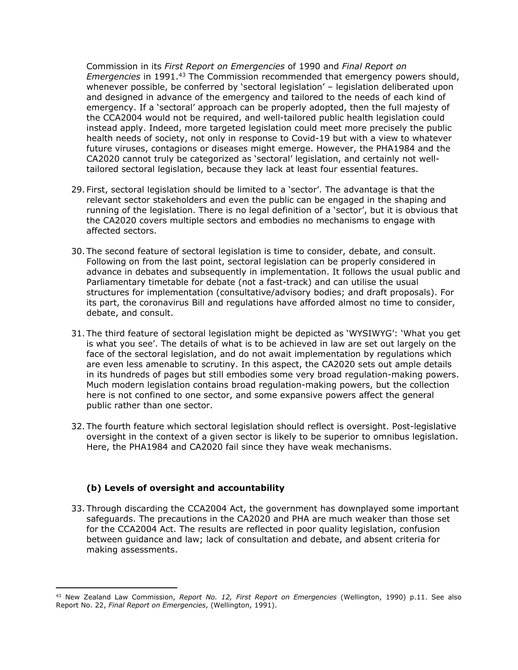Commission in its *First Report on Emergencies* of 1990 and *Final Report on Emergencies* in 1991.<sup>43</sup> The Commission recommended that emergency powers should, whenever possible, be conferred by 'sectoral legislation' – legislation deliberated upon and designed in advance of the emergency and tailored to the needs of each kind of emergency. If a 'sectoral' approach can be properly adopted, then the full majesty of the CCA2004 would not be required, and well-tailored public health legislation could instead apply. Indeed, more targeted legislation could meet more precisely the public health needs of society, not only in response to Covid-19 but with a view to whatever future viruses, contagions or diseases might emerge. However, the PHA1984 and the CA2020 cannot truly be categorized as 'sectoral' legislation, and certainly not welltailored sectoral legislation, because they lack at least four essential features.

- 29. First, sectoral legislation should be limited to a 'sector'. The advantage is that the relevant sector stakeholders and even the public can be engaged in the shaping and running of the legislation. There is no legal definition of a 'sector', but it is obvious that the CA2020 covers multiple sectors and embodies no mechanisms to engage with affected sectors.
- 30. The second feature of sectoral legislation is time to consider, debate, and consult. Following on from the last point, sectoral legislation can be properly considered in advance in debates and subsequently in implementation. It follows the usual public and Parliamentary timetable for debate (not a fast-track) and can utilise the usual structures for implementation (consultative/advisory bodies; and draft proposals). For its part, the coronavirus Bill and regulations have afforded almost no time to consider, debate, and consult.
- 31. The third feature of sectoral legislation might be depicted as 'WYSIWYG': 'What you get is what you see'. The details of what is to be achieved in law are set out largely on the face of the sectoral legislation, and do not await implementation by regulations which are even less amenable to scrutiny. In this aspect, the CA2020 sets out ample details in its hundreds of pages but still embodies some very broad regulation-making powers. Much modern legislation contains broad regulation-making powers, but the collection here is not confined to one sector, and some expansive powers affect the general public rather than one sector.
- 32. The fourth feature which sectoral legislation should reflect is oversight. Post-legislative oversight in the context of a given sector is likely to be superior to omnibus legislation. Here, the PHA1984 and CA2020 fail since they have weak mechanisms.

#### **(b) Levels of oversight and accountability**

33. Through discarding the CCA2004 Act, the government has downplayed some important safeguards. The precautions in the CA2020 and PHA are much weaker than those set for the CCA2004 Act. The results are reflected in poor quality legislation, confusion between guidance and law; lack of consultation and debate, and absent criteria for making assessments.

<sup>43</sup> New Zealand Law Commission, *Report No. 12, First Report on Emergencies* (Wellington, 1990) p.11. See also Report No. 22, *Final Report on Emergencies*, (Wellington, 1991).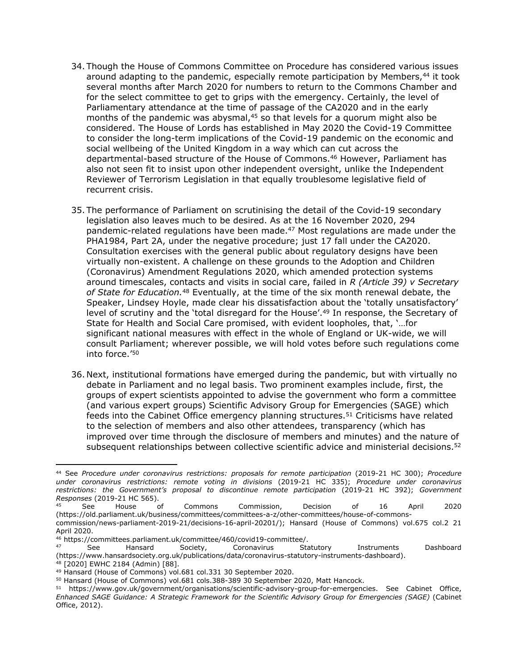- 34. Though the House of Commons Committee on Procedure has considered various issues around adapting to the pandemic, especially remote participation by Members,<sup>44</sup> it took several months after March 2020 for numbers to return to the Commons Chamber and for the select committee to get to grips with the emergency. Certainly, the level of Parliamentary attendance at the time of passage of the CA2020 and in the early months of the pandemic was abysmal, $45$  so that levels for a quorum might also be considered. The House of Lords has established in May 2020 the Covid-19 Committee to consider the long-term implications of the Covid-19 pandemic on the economic and social wellbeing of the United Kingdom in a way which can cut across the departmental-based structure of the House of Commons.<sup>46</sup> However, Parliament has also not seen fit to insist upon other independent oversight, unlike the Independent Reviewer of Terrorism Legislation in that equally troublesome legislative field of recurrent crisis.
- 35. The performance of Parliament on scrutinising the detail of the Covid-19 secondary legislation also leaves much to be desired. As at the 16 November 2020, 294 pandemic-related regulations have been made.<sup>47</sup> Most regulations are made under the PHA1984, Part 2A, under the negative procedure; just 17 fall under the CA2020. Consultation exercises with the general public about regulatory designs have been virtually non-existent. A challenge on these grounds to the Adoption and Children (Coronavirus) Amendment Regulations 2020, which amended protection systems around timescales, contacts and visits in social care, failed in *R (Article 39) v Secretary of State for Education.*<sup>48</sup> Eventually, at the time of the six month renewal debate, the Speaker, Lindsey Hoyle, made clear his dissatisfaction about the 'totally unsatisfactory' level of scrutiny and the 'total disregard for the House'.<sup>49</sup> In response, the Secretary of State for Health and Social Care promised, with evident loopholes, that, '…for significant national measures with effect in the whole of England or UK-wide, we will consult Parliament; wherever possible, we will hold votes before such regulations come into force.'<sup>50</sup>
- 36. Next, institutional formations have emerged during the pandemic, but with virtually no debate in Parliament and no legal basis. Two prominent examples include, first, the groups of expert scientists appointed to advise the government who form a committee (and various expert groups) Scientific Advisory Group for Emergencies (SAGE) which feeds into the Cabinet Office emergency planning structures.<sup>51</sup> Criticisms have related to the selection of members and also other attendees, transparency (which has improved over time through the disclosure of members and minutes) and the nature of subsequent relationships between collective scientific advice and ministerial decisions.<sup>52</sup>

<sup>44</sup> See *Procedure under coronavirus restrictions: proposals for remote participation* (2019-21 HC 300); *Procedure under coronavirus restrictions: remote voting in divisions* (2019-21 HC 335); *Procedure under coronavirus restrictions: the Government's proposal to discontinue remote participation* (2019-21 HC 392); *Government Responses* (2019-21 HC 565).

<sup>45</sup> See House of Commons Commission, Decision of 16 April 2020 (https://old.parliament.uk/business/committees/committees-a-z/other-committees/house-of-commonscommission/news-parliament-2019-21/decisions-16-april-20201/); Hansard (House of Commons) vol.675 col.2 21 April 2020.

<sup>46</sup> https://committees.parliament.uk/committee/460/covid19-committee/.

<sup>47</sup> See Hansard Society, Coronavirus Statutory Instruments Dashboard (https://www.hansardsociety.org.uk/publications/data/coronavirus-statutory-instruments-dashboard). <sup>48</sup> [2020] EWHC 2184 (Admin) [88].

<sup>49</sup> Hansard (House of Commons) vol.681 col.331 30 September 2020.

<sup>50</sup> Hansard (House of Commons) vol.681 cols.388-389 30 September 2020, Matt Hancock.

<sup>51</sup> https://www.gov.uk/government/organisations/scientific-advisory-group-for-emergencies. See Cabinet Office, *Enhanced SAGE Guidance: A Strategic Framework for the Scientific Advisory Group for Emergencies (SAGE)* (Cabinet Office, 2012).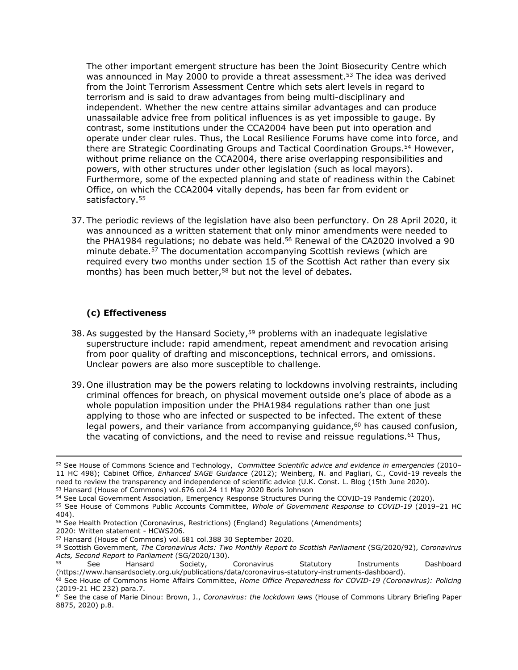The other important emergent structure has been the Joint Biosecurity Centre which was announced in May 2000 to provide a threat assessment.<sup>53</sup> The idea was derived from the Joint Terrorism Assessment Centre which sets alert levels in regard to terrorism and is said to draw advantages from being multi-disciplinary and independent. Whether the new centre attains similar advantages and can produce unassailable advice free from political influences is as yet impossible to gauge. By contrast, some institutions under the CCA2004 have been put into operation and operate under clear rules. Thus, the Local Resilience Forums have come into force, and there are Strategic Coordinating Groups and Tactical Coordination Groups.<sup>54</sup> However, without prime reliance on the CCA2004, there arise overlapping responsibilities and powers, with other structures under other legislation (such as local mayors). Furthermore, some of the expected planning and state of readiness within the Cabinet Office, on which the CCA2004 vitally depends, has been far from evident or satisfactory.<sup>55</sup>

37. The periodic reviews of the legislation have also been perfunctory. On 28 April 2020, it was announced as a written statement that only minor amendments were needed to the PHA1984 regulations; no debate was held.<sup>56</sup> Renewal of the CA2020 involved a 90 minute debate.<sup>57</sup> The documentation accompanying Scottish reviews (which are required every two months under section 15 of the Scottish Act rather than every six months) has been much better,<sup>58</sup> but not the level of debates.

## **(c) Effectiveness**

- 38. As suggested by the Hansard Society,<sup>59</sup> problems with an inadequate legislative superstructure include: rapid amendment, repeat amendment and revocation arising from poor quality of drafting and misconceptions, technical errors, and omissions. Unclear powers are also more susceptible to challenge.
- 39. One illustration may be the powers relating to lockdowns involving restraints, including criminal offences for breach, on physical movement outside one's place of abode as a whole population imposition under the PHA1984 regulations rather than one just applying to those who are infected or suspected to be infected. The extent of these legal powers, and their variance from accompanying guidance, $60$  has caused confusion, the vacating of convictions, and the need to revise and reissue regulations. $61$  Thus,

<sup>52</sup> See House of Commons Science and Technology, *Committee Scientific advice and evidence in emergencies* (2010– 11 HC 498); Cabinet Office, *Enhanced SAGE Guidance* (2012); Weinberg, N. and Pagliari, C., Covid-19 reveals the need to review the transparency and independence of scientific advice (U.K. Const. L. Blog (15th June 2020). <sup>53</sup> Hansard (House of Commons) vol.676 col.24 11 May 2020 Boris Johnson

<sup>54</sup> See Local Government Association, Emergency Response Structures During the COVID-19 Pandemic (2020).

<sup>55</sup> See House of Commons Public Accounts Committee, *Whole of Government Response to COVID-19* (2019–21 HC 404).

<sup>56</sup> See Health Protection (Coronavirus, Restrictions) (England) Regulations (Amendments)

<sup>2020:</sup> Written statement - HCWS206.

<sup>57</sup> Hansard (House of Commons) vol.681 col.388 30 September 2020.

<sup>58</sup> Scottish Government, *The Coronavirus Acts: Two Monthly Report to Scottish Parliament* (SG/2020/92), *Coronavirus Acts, Second Report to Parliament* (SG/2020/130).

<sup>59</sup> See Hansard Society, Coronavirus Statutory Instruments Dashboard (https://www.hansardsociety.org.uk/publications/data/coronavirus-statutory-instruments-dashboard).

<sup>60</sup> See House of Commons Home Affairs Committee, *Home Office Preparedness for COVID-19 (Coronavirus): Policing* (2019-21 HC 232) para.7.

<sup>61</sup> See the case of Marie Dinou: Brown, J., *Coronavirus: the lockdown laws* (House of Commons Library Briefing Paper 8875, 2020) p.8.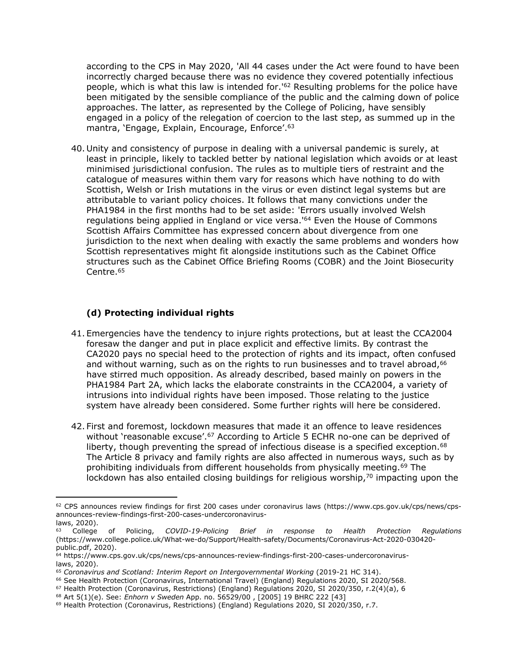according to the CPS in May 2020, 'All 44 cases under the Act were found to have been incorrectly charged because there was no evidence they covered potentially infectious people, which is what this law is intended for.<sup>162</sup> Resulting problems for the police have been mitigated by the sensible compliance of the public and the calming down of police approaches. The latter, as represented by the College of Policing, have sensibly engaged in a policy of the relegation of coercion to the last step, as summed up in the mantra, 'Engage, Explain, Encourage, Enforce'.<sup>63</sup>

40. Unity and consistency of purpose in dealing with a universal pandemic is surely, at least in principle, likely to tackled better by national legislation which avoids or at least minimised jurisdictional confusion. The rules as to multiple tiers of restraint and the catalogue of measures within them vary for reasons which have nothing to do with Scottish, Welsh or Irish mutations in the virus or even distinct legal systems but are attributable to variant policy choices. It follows that many convictions under the PHA1984 in the first months had to be set aside: 'Errors usually involved Welsh regulations being applied in England or vice versa.'<sup>64</sup> Even the House of Commons Scottish Affairs Committee has expressed concern about divergence from one jurisdiction to the next when dealing with exactly the same problems and wonders how Scottish representatives might fit alongside institutions such as the Cabinet Office structures such as the Cabinet Office Briefing Rooms (COBR) and the Joint Biosecurity Centre.<sup>65</sup>

### **(d) Protecting individual rights**

- 41. Emergencies have the tendency to injure rights protections, but at least the CCA2004 foresaw the danger and put in place explicit and effective limits. By contrast the CA2020 pays no special heed to the protection of rights and its impact, often confused and without warning, such as on the rights to run businesses and to travel abroad, 66 have stirred much opposition. As already described, based mainly on powers in the PHA1984 Part 2A, which lacks the elaborate constraints in the CCA2004, a variety of intrusions into individual rights have been imposed. Those relating to the justice system have already been considered. Some further rights will here be considered.
- 42. First and foremost, lockdown measures that made it an offence to leave residences without 'reasonable excuse'.<sup>67</sup> According to Article 5 ECHR no-one can be deprived of liberty, though preventing the spread of infectious disease is a specified exception.<sup>68</sup> The Article 8 privacy and family rights are also affected in numerous ways, such as by prohibiting individuals from different households from physically meeting.<sup>69</sup> The lockdown has also entailed closing buildings for religious worship, $70$  impacting upon the

<sup>62</sup> CPS announces review findings for first 200 cases under coronavirus laws (https://www.cps.gov.uk/cps/news/cpsannounces-review-findings-first-200-cases-undercoronaviruslaws, 2020).

<sup>63</sup> College of Policing, *COVID-19-Policing Brief in response to Health Protection Regulations* (https://www.college.police.uk/What-we-do/Support/Health-safety/Documents/Coronavirus-Act-2020-030420 public.pdf, 2020).

<sup>64</sup> https://www.cps.gov.uk/cps/news/cps-announces-review-findings-first-200-cases-undercoronaviruslaws, 2020).

<sup>65</sup> *Coronavirus and Scotland: Interim Report on Intergovernmental Working* (2019-21 HC 314).

<sup>66</sup> See Health Protection (Coronavirus, International Travel) (England) Regulations 2020, SI 2020/568.

<sup>67</sup> Health Protection (Coronavirus, Restrictions) (England) Regulations 2020, SI 2020/350, r.2(4)(a), 6

<sup>68</sup> Art 5(1)(e). See: *Enhorn v Sweden* App. no. 56529/00 , [2005] 19 BHRC 222 [43]

<sup>&</sup>lt;sup>69</sup> Health Protection (Coronavirus, Restrictions) (England) Regulations 2020, SI 2020/350, r.7.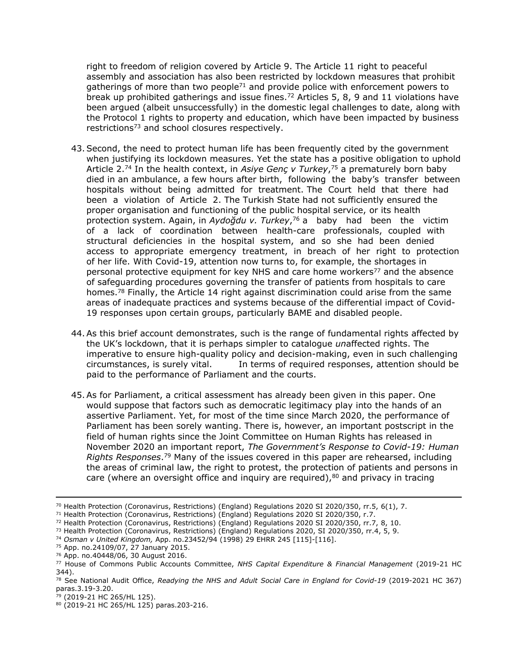right to freedom of religion covered by Article 9. The Article 11 right to peaceful assembly and association has also been restricted by lockdown measures that prohibit gatherings of more than two people<sup>71</sup> and provide police with enforcement powers to break up prohibited gatherings and issue fines.<sup>72</sup> Articles 5, 8, 9 and 11 violations have been argued (albeit unsuccessfully) in the domestic legal challenges to date, along with the Protocol 1 rights to property and education, which have been impacted by business restrictions<sup>73</sup> and school closures respectively.

- 43.Second, the need to protect human life has been frequently cited by the government when justifying its lockdown measures. Yet the state has a positive obligation to uphold Article 2.<sup>74</sup> In the health context, in *Asiye Genç v Turkey*, <sup>75</sup> a prematurely born baby died in an ambulance, a few hours after birth, following the baby's transfer between hospitals without being admitted for treatment. The Court held that there had been a violation of Article 2. The Turkish State had not sufficiently ensured the proper organisation and functioning of the public hospital service, or its health protection system. Again, in *Aydoğdu v. Turkey*, <sup>76</sup> a baby had been the victim of a lack of coordination between health-care professionals, coupled with structural deficiencies in the hospital system, and so she had been denied access to appropriate emergency treatment, in breach of her right to protection of her life. With Covid-19, attention now turns to, for example, the shortages in personal protective equipment for key NHS and care home workers<sup>77</sup> and the absence of safeguarding procedures governing the transfer of patients from hospitals to care homes.<sup>78</sup> Finally, the Article 14 right against discrimination could arise from the same areas of inadequate practices and systems because of the differential impact of Covid-19 responses upon certain groups, particularly BAME and disabled people.
- 44.As this brief account demonstrates, such is the range of fundamental rights affected by the UK's lockdown, that it is perhaps simpler to catalogue *un*affected rights. The imperative to ensure high-quality policy and decision-making, even in such challenging circumstances, is surely vital. In terms of required responses, attention should be paid to the performance of Parliament and the courts.
- 45.As for Parliament, a critical assessment has already been given in this paper. One would suppose that factors such as democratic legitimacy play into the hands of an assertive Parliament. Yet, for most of the time since March 2020, the performance of Parliament has been sorely wanting. There is, however, an important postscript in the field of human rights since the Joint Committee on Human Rights has released in November 2020 an important report, *The Government's Response to Covid-19: Human Rights Responses*. <sup>79</sup> Many of the issues covered in this paper are rehearsed, including the areas of criminal law, the right to protest, the protection of patients and persons in care (where an oversight office and inquiry are required), $80$  and privacy in tracing

<sup>70</sup> Health Protection (Coronavirus, Restrictions) (England) Regulations 2020 SI 2020/350, rr.5, 6(1), 7.

<sup>71</sup> Health Protection (Coronavirus, Restrictions) (England) Regulations 2020 SI 2020/350, r.7.

<sup>72</sup> Health Protection (Coronavirus, Restrictions) (England) Regulations 2020 SI 2020/350, rr.7, 8, 10.

<sup>73</sup> Health Protection (Coronavirus, Restrictions) (England) Regulations 2020, SI 2020/350, rr.4, 5, 9.

<sup>74</sup> *Osman v United Kingdom,* App. no.23452/94 (1998) 29 EHRR 245 [115]-[116].

<sup>75</sup> App. no.24109/07, 27 January 2015.

<sup>76</sup> App. no.40448/06, 30 August 2016.

<sup>77</sup> House of Commons Public Accounts Committee, *NHS Capital Expenditure & Financial Management* (2019-21 HC 344).

<sup>78</sup> See National Audit Office, *Readying the NHS and Adult Social Care in England for Covid-19* (2019-2021 HC 367) paras.3.19-3.20.

<sup>79</sup> (2019-21 HC 265/HL 125).

<sup>80</sup> (2019-21 HC 265/HL 125) paras.203-216.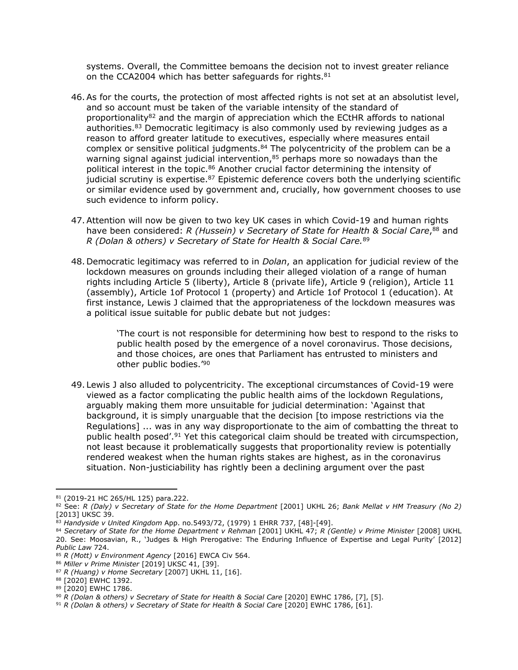systems. Overall, the Committee bemoans the decision not to invest greater reliance on the CCA2004 which has better safeguards for rights.<sup>81</sup>

- 46.As for the courts, the protection of most affected rights is not set at an absolutist level, and so account must be taken of the variable intensity of the standard of proportionality<sup>82</sup> and the margin of appreciation which the ECtHR affords to national authorities.<sup>83</sup> Democratic legitimacy is also commonly used by reviewing judges as a reason to afford greater latitude to executives, especially where measures entail complex or sensitive political judgments.<sup>84</sup> The polycentricity of the problem can be a warning signal against judicial intervention, $85$  perhaps more so nowadays than the political interest in the topic.<sup>86</sup> Another crucial factor determining the intensity of judicial scrutiny is expertise. $87$  Epistemic deference covers both the underlying scientific or similar evidence used by government and, crucially, how government chooses to use such evidence to inform policy.
- 47.Attention will now be given to two key UK cases in which Covid-19 and human rights have been considered: *R (Hussein) v Secretary of State for Health & Social Care*, <sup>88</sup> and *R (Dolan & others) v Secretary of State for Health & Social Care.*<sup>89</sup>
- 48. Democratic legitimacy was referred to in *Dolan*, an application for judicial review of the lockdown measures on grounds including their alleged violation of a range of human rights including Article 5 (liberty), Article 8 (private life), Article 9 (religion), Article 11 (assembly), Article 1of Protocol 1 (property) and Article 1of Protocol 1 (education). At first instance, Lewis J claimed that the appropriateness of the lockdown measures was a political issue suitable for public debate but not judges:

'The court is not responsible for determining how best to respond to the risks to public health posed by the emergence of a novel coronavirus. Those decisions, and those choices, are ones that Parliament has entrusted to ministers and other public bodies.'<sup>90</sup>

49.Lewis J also alluded to polycentricity. The exceptional circumstances of Covid-19 were viewed as a factor complicating the public health aims of the lockdown Regulations, arguably making them more unsuitable for judicial determination: 'Against that background, it is simply unarguable that the decision [to impose restrictions via the Regulations] ... was in any way disproportionate to the aim of combatting the threat to public health posed'.<sup>91</sup> Yet this categorical claim should be treated with circumspection, not least because it problematically suggests that proportionality review is potentially rendered weakest when the human rights stakes are highest, as in the coronavirus situation. Non-justiciability has rightly been a declining argument over the past

<sup>81</sup> (2019-21 HC 265/HL 125) para.222.

<sup>82</sup> See: R (Daly) v Secretary of State for the Home Department [2001] UKHL 26; Bank Mellat v HM Treasury (No 2) [2013] UKSC 39.

<sup>83</sup> *Handyside v United Kingdom* App. no.5493/72, (1979) 1 EHRR 737, [48]-[49].

<sup>84</sup> *Secretary of State for the Home Department v Rehman* [2001] UKHL 47; *R (Gentle) v Prime Minister* [2008] UKHL 20. See: Moosavian, R., 'Judges & High Prerogative: The Enduring Influence of Expertise and Legal Purity' [2012] *Public Law* 724.

<sup>85</sup> *R (Mott) v Environment Agency* [2016] EWCA Civ 564.

<sup>86</sup> *Miller v Prime Minister* [2019] UKSC 41, [39].

<sup>87</sup> *R (Huang) v Home Secretary* [2007] UKHL 11, [16].

<sup>88</sup> [2020] EWHC 1392.

<sup>89</sup> [2020] EWHC 1786.

<sup>90</sup> *R (Dolan & others) v Secretary of State for Health & Social Care* [2020] EWHC 1786, [7], [5].

<sup>91</sup> *R (Dolan & others) v Secretary of State for Health & Social Care* [2020] EWHC 1786, [61].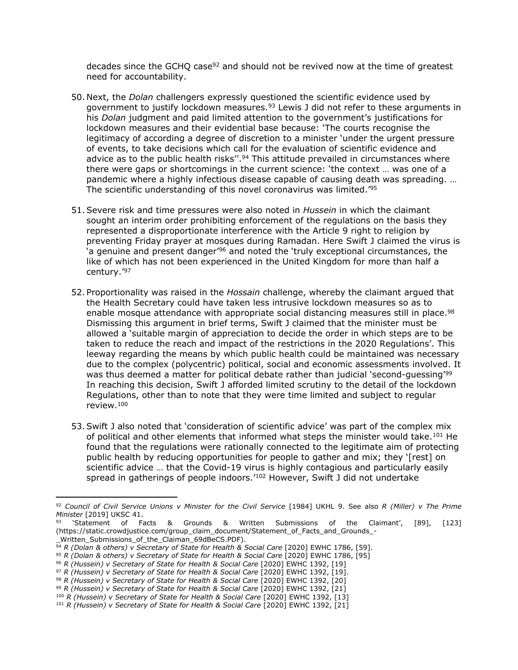decades since the GCHO case $92$  and should not be revived now at the time of greatest need for accountability.

- 50. Next, the *Dolan* challengers expressly questioned the scientific evidence used by government to justify lockdown measures.<sup>93</sup> Lewis J did not refer to these arguments in his *Dolan* judgment and paid limited attention to the government's justifications for lockdown measures and their evidential base because: 'The courts recognise the legitimacy of according a degree of discretion to a minister 'under the urgent pressure of events, to take decisions which call for the evaluation of scientific evidence and advice as to the public health risks".<sup>94</sup> This attitude prevailed in circumstances where there were gaps or shortcomings in the current science: 'the context … was one of a pandemic where a highly infectious disease capable of causing death was spreading. … The scientific understanding of this novel coronavirus was limited.'<sup>95</sup>
- 51.Severe risk and time pressures were also noted in *Hussein* in which the claimant sought an interim order prohibiting enforcement of the regulations on the basis they represented a disproportionate interference with the Article 9 right to religion by preventing Friday prayer at mosques during Ramadan. Here Swift J claimed the virus is 'a genuine and present danger'<sup>96</sup> and noted the 'truly exceptional circumstances, the like of which has not been experienced in the United Kingdom for more than half a century.'<sup>97</sup>
- 52. Proportionality was raised in the *Hossain* challenge, whereby the claimant argued that the Health Secretary could have taken less intrusive lockdown measures so as to enable mosque attendance with appropriate social distancing measures still in place.<sup>98</sup> Dismissing this argument in brief terms, Swift J claimed that the minister must be allowed a 'suitable margin of appreciation to decide the order in which steps are to be taken to reduce the reach and impact of the restrictions in the 2020 Regulations'. This leeway regarding the means by which public health could be maintained was necessary due to the complex (polycentric) political, social and economic assessments involved. It was thus deemed a matter for political debate rather than judicial 'second-quessing'<sup>99</sup> In reaching this decision, Swift J afforded limited scrutiny to the detail of the lockdown Regulations, other than to note that they were time limited and subject to regular review.<sup>100</sup>
- 53.Swift J also noted that 'consideration of scientific advice' was part of the complex mix of political and other elements that informed what steps the minister would take.<sup>101</sup> He found that the regulations were rationally connected to the legitimate aim of protecting public health by reducing opportunities for people to gather and mix; they '[rest] on scientific advice … that the Covid-19 virus is highly contagious and particularly easily spread in gatherings of people indoors.<sup>'102</sup> However, Swift J did not undertake

<sup>92</sup> Council of Civil Service Unions v Minister for the Civil Service [1984] UKHL 9. See also R (Miller) v The Prime *Minister* [2019] UKSC 41.

<sup>93</sup> 'Statement of Facts & Grounds & Written Submissions of the Claimant', [89], [123] (https://static.crowdjustice.com/group\_claim\_document/Statement\_of\_Facts\_and\_Grounds\_- \_Written\_Submissions\_of\_the\_Claiman\_69dBeCS.PDF).

<sup>94</sup> *R (Dolan & others) v Secretary of State for Health & Social Care* [2020] EWHC 1786, [59].

<sup>95</sup> *R (Dolan & others) v Secretary of State for Health & Social Care* [2020] EWHC 1786, [95]

<sup>96</sup> *R (Hussein) v Secretary of State for Health & Social Care* [2020] EWHC 1392, [19]

<sup>97</sup> *R (Hussein) v Secretary of State for Health & Social Care* [2020] EWHC 1392, [19].

<sup>98</sup> *R (Hussein) v Secretary of State for Health & Social Care* [2020] EWHC 1392, [20]

<sup>99</sup> *R (Hussein) v Secretary of State for Health & Social Care* [2020] EWHC 1392, [21]

<sup>100</sup> *R (Hussein) v Secretary of State for Health & Social Care* [2020] EWHC 1392, [13]

<sup>101</sup> *R (Hussein) v Secretary of State for Health & Social Care* [2020] EWHC 1392, [21]